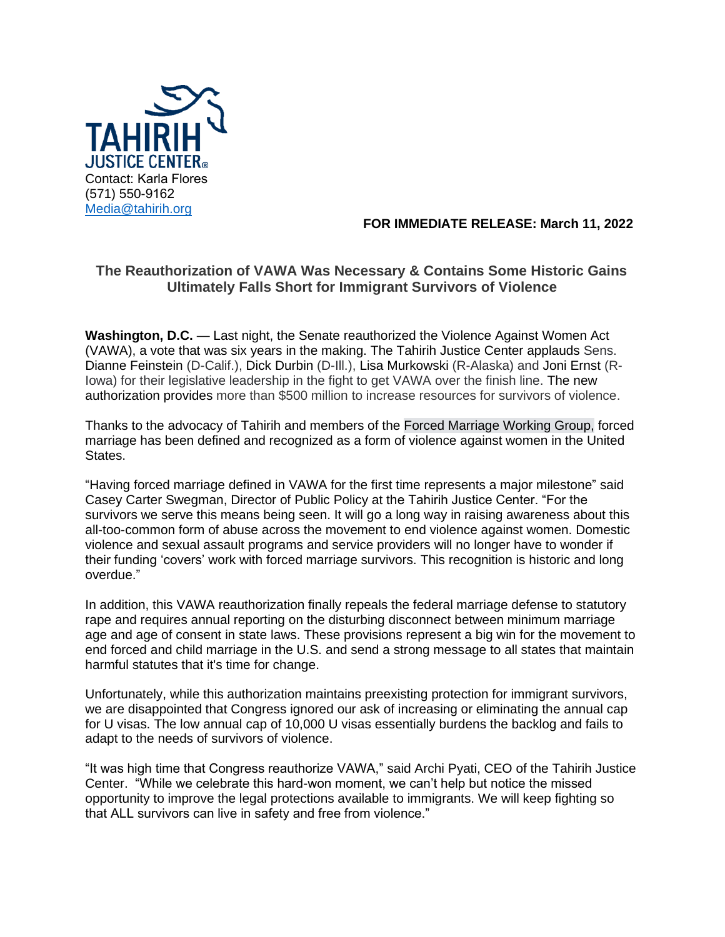

## **FOR IMMEDIATE RELEASE: March 11, 2022**

## **The Reauthorization of VAWA Was Necessary & Contains Some Historic Gains Ultimately Falls Short for Immigrant Survivors of Violence**

**Washington, D.C.** — Last night, the Senate reauthorized the Violence Against Women Act (VAWA), a vote that was six years in the making. The Tahirih Justice Center applauds Sens. Dianne Feinstein (D-Calif.), Dick Durbin (D-Ill.), Lisa Murkowski (R-Alaska) and Joni Ernst (R-Iowa) for their legislative leadership in the fight to get VAWA over the finish line. The new authorization provides more than \$500 million to increase resources for survivors of violence.

Thanks to the advocacy of Tahirih and members of the [Forced Marriage Working Group,](https://www.tahirih.org/news/celebrating-10-years-of-the-national-forced-marriage-working-group/#:~:text=The%20Forced%20Marriage%20Working%20Group%20is%20a%20core%20group%20of,respects%20diverse%20perspectives%20and%20voices.) forced marriage has been defined and recognized as a form of violence against women in the United States.

"Having forced marriage defined in VAWA for the first time represents a major milestone" said Casey Carter Swegman, Director of Public Policy at the Tahirih Justice Center. "For the survivors we serve this means being seen. It will go a long way in raising awareness about this all-too-common form of abuse across the movement to end violence against women. Domestic violence and sexual assault programs and service providers will no longer have to wonder if their funding 'covers' work with forced marriage survivors. This recognition is historic and long overdue."

In addition, this VAWA reauthorization finally repeals the federal marriage defense to statutory rape and requires annual reporting on the disturbing disconnect between minimum marriage age and age of consent in state laws. These provisions represent a big win for the movement to end forced and child marriage in the U.S. and send a strong message to all states that maintain harmful statutes that it's time for change.

Unfortunately, while this authorization maintains preexisting protection for immigrant survivors, we are disappointed that Congress ignored our ask of increasing or eliminating the annual cap for U visas. The low annual cap of 10,000 U visas essentially burdens the backlog and fails to adapt to the needs of survivors of violence.

"It was high time that Congress reauthorize VAWA," said Archi Pyati, CEO of the Tahirih Justice Center. "While we celebrate this hard-won moment, we can't help but notice the missed opportunity to improve the legal protections available to immigrants. We will keep fighting so that ALL survivors can live in safety and free from violence."